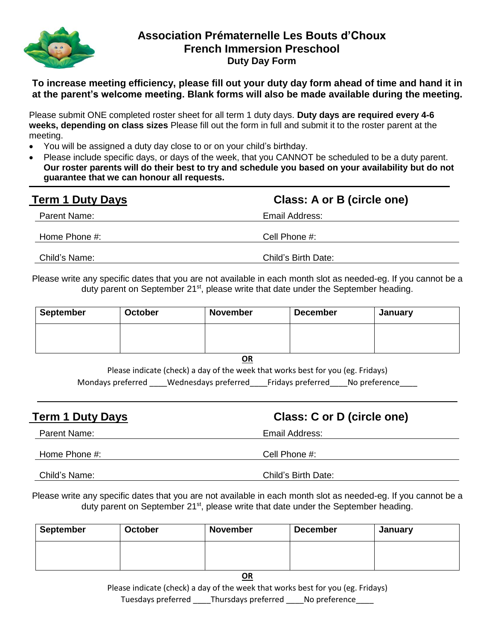

## **Association Prématernelle Les Bouts d'Choux French Immersion Preschool Duty Day Form**

**To increase meeting efficiency, please fill out your duty day form ahead of time and hand it in at the parent's welcome meeting. Blank forms will also be made available during the meeting.**

Please submit ONE completed roster sheet for all term 1 duty days. **Duty days are required every 4-6 weeks, depending on class sizes** Please fill out the form in full and submit it to the roster parent at the meeting.

- You will be assigned a duty day close to or on your child's birthday.
- Please include specific days, or days of the week, that you CANNOT be scheduled to be a duty parent. **Our roster parents will do their best to try and schedule you based on your availability but do not guarantee that we can honour all requests.**

| <b>Term 1 Duty Days</b> | Class: A or B (circle one) |  |  |
|-------------------------|----------------------------|--|--|
| Parent Name:            | Email Address:             |  |  |
| Home Phone #:           | Cell Phone #:              |  |  |
| Child's Name:           | Child's Birth Date:        |  |  |

Please write any specific dates that you are not available in each month slot as needed-eg. If you cannot be a duty parent on September 21<sup>st</sup>, please write that date under the September heading.

| <b>September</b> | <b>October</b> | <b>November</b> | <b>December</b> | January |
|------------------|----------------|-----------------|-----------------|---------|
|                  |                |                 |                 |         |

**OR**

Please indicate (check) a day of the week that works best for you (eg. Fridays) Mondays preferred Wednesdays preferred Fridays preferred No preference

| <b>Term 1 Duty Days</b> | Class: C or D (circle one) |  |  |
|-------------------------|----------------------------|--|--|
| Parent Name:            | Email Address:             |  |  |
| Home Phone #:           | Cell Phone #:              |  |  |
| Child's Name:           | Child's Birth Date:        |  |  |

Please write any specific dates that you are not available in each month slot as needed-eg. If you cannot be a duty parent on September 21<sup>st</sup>, please write that date under the September heading.

| September | <b>October</b> | <b>November</b> | <b>December</b> | January |
|-----------|----------------|-----------------|-----------------|---------|
|           |                |                 |                 |         |
|           |                |                 |                 |         |

**OR**

Please indicate (check) a day of the week that works best for you (eg. Fridays) Tuesdays preferred Thursdays preferred No preference